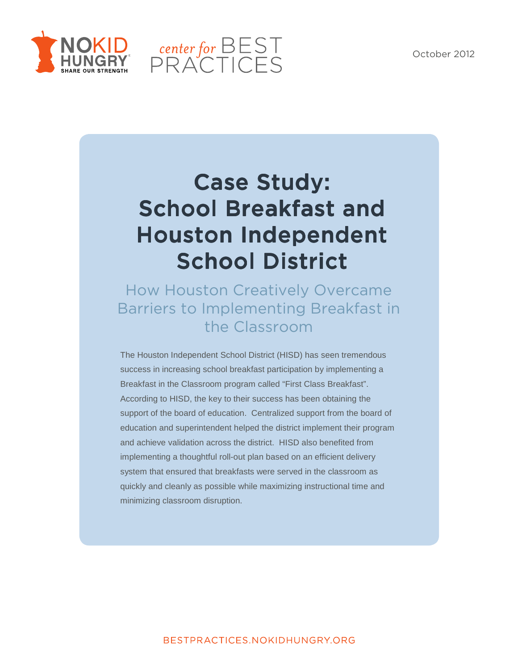



# Case Study: School Breakfast and Houston Independent School District

## How Houston Creatively Overcame Barriers to Implementing Breakfast in the Classroom

The Houston Independent School District (HISD) has seen tremendous success in increasing school breakfast participation by implementing a Breakfast in the Classroom program called "First Class Breakfast". According to HISD, the key to their success has been obtaining the support of the board of education. Centralized support from the board of education and superintendent helped the district implement their program and achieve validation across the district. HISD also benefited from implementing a thoughtful roll-out plan based on an efficient delivery system that ensured that breakfasts were served in the classroom as quickly and cleanly as possible while maximizing instructional time and minimizing classroom disruption.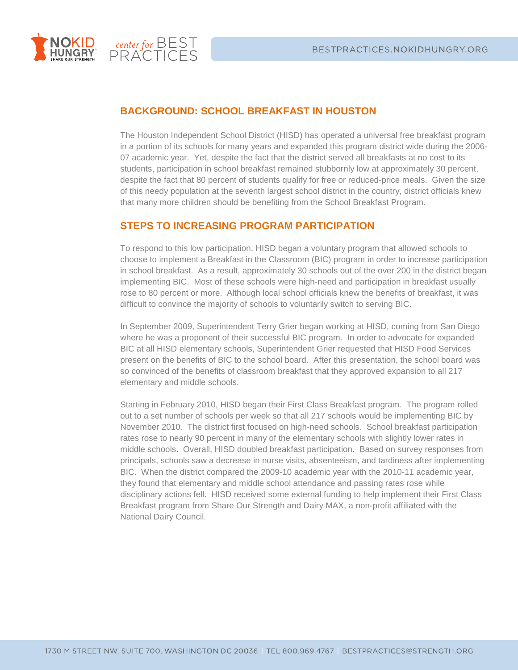

center for BEST<br>PRACTICES

### **BACKGROUND: SCHOOL BREAKFAST IN HOUSTON**

The Houston Independent School District (HISD) has operated a universal free breakfast program in a portion of its schools for many years and expanded this program district wide during the 2006- 07 academic year. Yet, despite the fact that the district served all breakfasts at no cost to its students, participation in school breakfast remained stubbornly low at approximately 30 percent, despite the fact that 80 percent of students qualify for free or reduced-price meals. Given the size of this needy population at the seventh largest school district in the country, district officials knew that many more children should be benefiting from the School Breakfast Program.

#### **STEPS TO INCREASING PROGRAM PARTICIPATION**

To respond to this low participation, HISD began a voluntary program that allowed schools to choose to implement a Breakfast in the Classroom (BIC) program in order to increase participation in school breakfast. As a result, approximately 30 schools out of the over 200 in the district began implementing BIC. Most of these schools were high-need and participation in breakfast usually rose to 80 percent or more. Although local school officials knew the benefits of breakfast, it was difficult to convince the majority of schools to voluntarily switch to serving BIC.

In September 2009, Superintendent Terry Grier began working at HISD, coming from San Diego where he was a proponent of their successful BIC program. In order to advocate for expanded BIC at all HISD elementary schools, Superintendent Grier requested that HISD Food Services present on the benefits of BIC to the school board. After this presentation, the school board was so convinced of the benefits of classroom breakfast that they approved expansion to all 217 elementary and middle schools.

Starting in February 2010, HISD began their First Class Breakfast program. The program rolled out to a set number of schools per week so that all 217 schools would be implementing BIC by November 2010. The district first focused on high-need schools. School breakfast participation rates rose to nearly 90 percent in many of the elementary schools with slightly lower rates in middle schools. Overall, HISD doubled breakfast participation. Based on survey responses from principals, schools saw a decrease in nurse visits, absenteeism, and tardiness after implementing BIC. When the district compared the 2009-10 academic year with the 2010-11 academic year, they found that elementary and middle school attendance and passing rates rose while disciplinary actions fell. HISD received some external funding to help implement their First Class Breakfast program from Share Our Strength and Dairy MAX, a non-profit affiliated with the National Dairy Council.